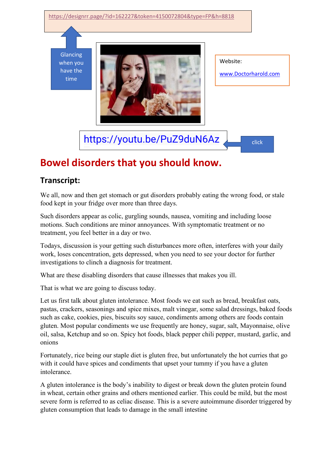## <https://designrr.page/?id=162227&token=4150072804&type=FP&h=8818>

Glancing when you have the time



Website:

[www.Doctorharold.com](http://www.doctorharold.com/)

[https://youtu.be/PuZ9duN6Az](https://youtu.be/PuZ9duN6Azo)

click

## **Bowel di[so](https://youtu.be/PuZ9duN6Azo)rders that you should know.**

## **Transcript:**

We all, now and then get stomach or gut disorders probably eating the wrong food, or stale food kept in your fridge over more than three days.

Such disorders appear as colic, gurgling sounds, nausea, vomiting and including loose motions. Such conditions are minor annoyances. With symptomatic treatment or no treatment, you feel better in a day or two.

Todays, discussion is your getting such disturbances more often, interferes with your daily work, loses concentration, gets depressed, when you need to see your doctor for further investigations to clinch a diagnosis for treatment.

What are these disabling disorders that cause illnesses that makes you ill.

That is what we are going to discuss today.

Let us first talk about gluten intolerance. Most foods we eat such as bread, breakfast oats, pastas, crackers, seasonings and spice mixes, malt vinegar, some salad dressings, baked foods such as cake, cookies, pies, biscuits soy sauce, condiments among others are foods contain gluten. Most popular condiments we use frequently are honey, sugar, salt, Mayonnaise, olive oil, salsa, Ketchup and so on. Spicy hot foods, black pepper chili pepper, mustard, garlic, and onions

Fortunately, rice being our staple diet is gluten free, but unfortunately the hot curries that go with it could have spices and condiments that upset your tummy if you have a gluten intolerance.

A gluten intolerance is the body's inability to digest or break down the gluten protein found in wheat, certain other grains and others mentioned earlier. This could be mild, but the most severe form is referred to as celiac disease. This is a severe autoimmune disorder triggered by gluten consumption that leads to damage in the small intestine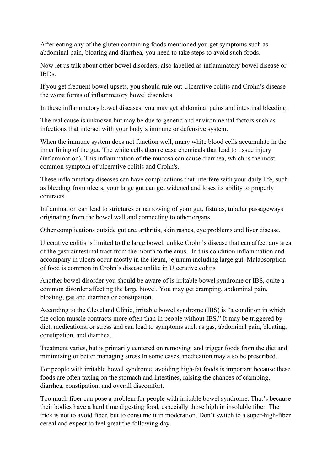After eating any of the gluten containing foods mentioned you get symptoms such as abdominal pain, bloating and diarrhea, you need to take steps to avoid such foods.

Now let us talk about other bowel disorders, also labelled as inflammatory bowel disease or IBDs.

If you get frequent bowel upsets, you should rule out Ulcerative colitis and Crohn's disease the worst forms of inflammatory bowel disorders.

In these inflammatory bowel diseases, you may get abdominal pains and intestinal bleeding.

The real cause is unknown but may be due to genetic and environmental factors such as infections that interact with your body's immune or defensive system.

When the immune system does not function well, many white blood cells accumulate in the inner lining of the gut. The white cells then release chemicals that lead to tissue injury (inflammation). This inflammation of the mucosa can cause diarrhea, which is the most common symptom of ulcerative colitis and Crohn's.

These inflammatory diseases can have complications that interfere with your daily life, such as bleeding from ulcers, your large gut can get widened and loses its ability to properly contracts.

Inflammation can lead to strictures or narrowing of your gut, fistulas, tubular passageways originating from the bowel wall and connecting to other organs.

Other complications outside gut are, arthritis, skin rashes, eye problems and liver disease.

Ulcerative colitis is limited to the large bowel, unlike Crohn's disease that can affect any area of the gastrointestinal tract from the mouth to the anus. In this condition inflammation and accompany in ulcers occur mostly in the ileum, jejunum including large gut. Malabsorption of food is common in Crohn's disease unlike in Ulcerative colitis

Another bowel disorder you should be aware of is irritable bowel syndrome or IBS, quite a common disorder affecting the large bowel. You may get cramping, abdominal pain, bloating, gas and diarrhea or constipation.

According to the Cleveland Clinic, irritable bowel syndrome (IBS) is "a condition in which the colon muscle contracts more often than in people without IBS." It may be triggered by diet, medications, or stress and can lead to symptoms such as gas, abdominal pain, bloating, constipation, and diarrhea.

Treatment varies, but is primarily centered on removing and trigger foods from the diet and minimizing or better managing stress In some cases, medication may also be prescribed.

For people with irritable bowel syndrome, avoiding high-fat foods is important because these foods are often taxing on the stomach and intestines, raising the chances of cramping, diarrhea, constipation, and overall discomfort.

Too much fiber can pose a problem for people with irritable bowel syndrome. That's because their bodies have a hard time digesting food, especially those high in insoluble fiber. The trick is not to avoid fiber, but to consume it in moderation. Don't switch to a super-high-fiber cereal and expect to feel great the following day.